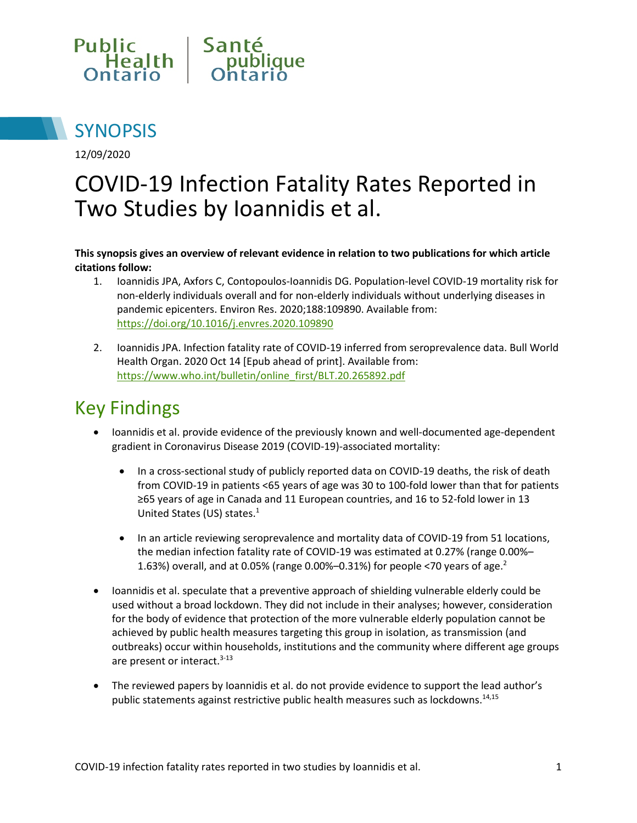



12/09/2020

# COVID-19 Infection Fatality Rates Reported in Two Studies by Ioannidis et al.

**This synopsis gives an overview of relevant evidence in relation to two publications for which article citations follow:**

- 1. Ioannidis JPA, Axfors C, Contopoulos-Ioannidis DG. Population-level COVID-19 mortality risk for non-elderly individuals overall and for non-elderly individuals without underlying diseases in pandemic epicenters. Environ Res. 2020;188:109890. Available from: <https://doi.org/10.1016/j.envres.2020.109890>
- 2. Ioannidis JPA. Infection fatality rate of COVID-19 inferred from seroprevalence data. Bull World Health Organ. 2020 Oct 14 [Epub ahead of print]. Available from: [https://www.who.int/bulletin/online\\_first/BLT.20.265892.pdf](https://www.who.int/bulletin/online_first/BLT.20.265892.pdf)

# Key Findings

- Ioannidis et al. provide evidence of the previously known and well-documented age-dependent gradient in Coronavirus Disease 2019 (COVID-19)-associated mortality:
	- In a cross-sectional study of publicly reported data on COVID-19 deaths, the risk of death from COVID-19 in patients <65 years of age was 30 to 100-fold lower than that for patients ≥65 years of age in Canada and 11 European countries, and 16 to 52-fold lower in 13 United States (US) states. 1
	- In an article reviewing seroprevalence and mortality data of COVID-19 from 51 locations, the median infection fatality rate of COVID-19 was estimated at 0.27% (range 0.00%– 1.63%) overall, and at 0.05% (range 0.00%-0.31%) for people <70 years of age.<sup>2</sup>
- Ioannidis et al. speculate that a preventive approach of shielding vulnerable elderly could be used without a broad lockdown. They did not include in their analyses; however, consideration for the body of evidence that protection of the more vulnerable elderly population cannot be achieved by public health measures targeting this group in isolation, as transmission (and outbreaks) occur within households, institutions and the community where different age groups are present or interact.<sup>3-13</sup>
- The reviewed papers by Ioannidis et al. do not provide evidence to support the lead author's public statements against restrictive public health measures such as lockdowns.14,15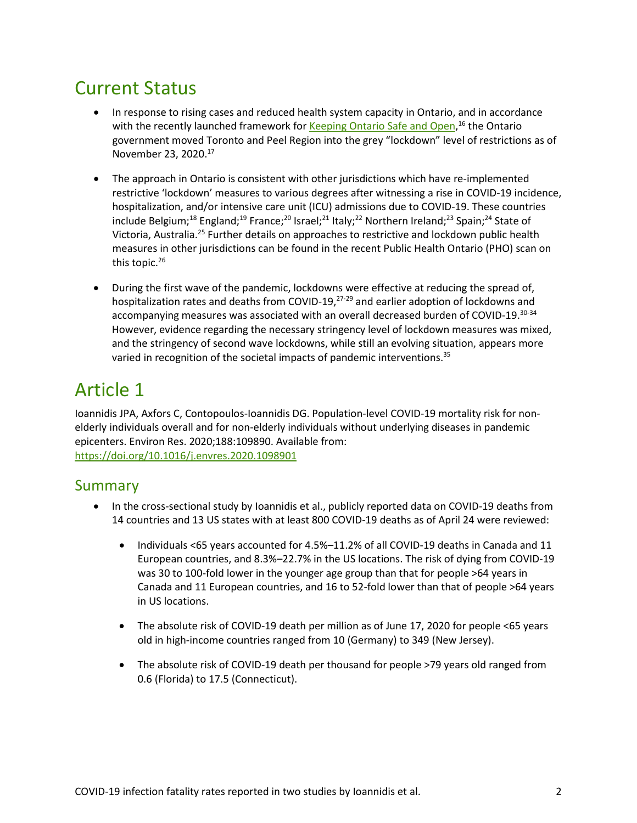## Current Status

- In response to rising cases and reduced health system capacity in Ontario, and in accordance with the recently launched framework for [Keeping Ontario Safe and Open,](https://files.ontario.ca/moh-covid-19-response-framework-keeping-ontario-safe-and-open-en-2020-11-13.pdf)<sup>16</sup> the Ontario government moved Toronto and Peel Region into the grey "lockdown" level of restrictions as of November 23, 2020. 17
- The approach in Ontario is consistent with other jurisdictions which have re-implemented restrictive 'lockdown' measures to various degrees after witnessing a rise in COVID-19 incidence, hospitalization, and/or intensive care unit (ICU) admissions due to COVID-19. These countries include Belgium;<sup>18</sup> England;<sup>19</sup> France;<sup>20</sup> Israel;<sup>21</sup> Italy;<sup>22</sup> Northern Ireland;<sup>23</sup> Spain;<sup>24</sup> State of Victoria, Australia.25 Further details on approaches to restrictive and lockdown public health measures in other jurisdictions can be found in the recent Public Health Ontario (PHO) scan on this topic.<sup>26</sup>
- During the first wave of the pandemic, lockdowns were effective at reducing the spread of, hospitalization rates and deaths from COVID-19,<sup>27-29</sup> and earlier adoption of lockdowns and accompanying measures was associated with an overall decreased burden of COVID-19.30-34 However, evidence regarding the necessary stringency level of lockdown measures was mixed, and the stringency of second wave lockdowns, while still an evolving situation, appears more varied in recognition of the societal impacts of pandemic interventions.<sup>35</sup>

### Article 1

Ioannidis JPA, Axfors C, Contopoulos-Ioannidis DG. Population-level COVID-19 mortality risk for nonelderly individuals overall and for non-elderly individuals without underlying diseases in pandemic epicenters. Environ Res. 2020;188:109890. Available from: [https://doi.org/10.1016/j.envres.2020.1098901](https://doi.org/10.1016/j.envres.2020.109890)

#### Summary

- In the cross-sectional study by Ioannidis et al., publicly reported data on COVID-19 deaths from 14 countries and 13 US states with at least 800 COVID-19 deaths as of April 24 were reviewed:
	- Individuals <65 years accounted for 4.5%–11.2% of all COVID-19 deaths in Canada and 11 European countries, and 8.3%–22.7% in the US locations. The risk of dying from COVID-19 was 30 to 100-fold lower in the younger age group than that for people >64 years in Canada and 11 European countries, and 16 to 52-fold lower than that of people >64 years in US locations.
	- The absolute risk of COVID-19 death per million as of June 17, 2020 for people <65 years old in high-income countries ranged from 10 (Germany) to 349 (New Jersey).
	- The absolute risk of COVID-19 death per thousand for people >79 years old ranged from 0.6 (Florida) to 17.5 (Connecticut).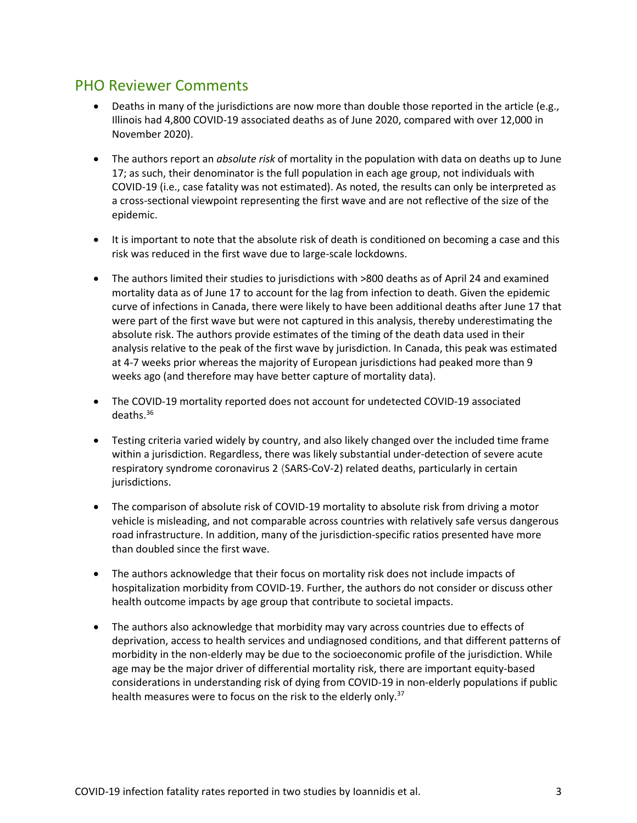#### PHO Reviewer Comments

- Deaths in many of the jurisdictions are now more than double those reported in the article (e.g., Illinois had 4,800 COVID-19 associated deaths as of June 2020, compared with over 12,000 in November 2020).
- The authors report an *absolute risk* of mortality in the population with data on deaths up to June 17; as such, their denominator is the full population in each age group, not individuals with COVID-19 (i.e., case fatality was not estimated). As noted, the results can only be interpreted as a cross-sectional viewpoint representing the first wave and are not reflective of the size of the epidemic.
- It is important to note that the absolute risk of death is conditioned on becoming a case and this risk was reduced in the first wave due to large-scale lockdowns.
- The authors limited their studies to jurisdictions with >800 deaths as of April 24 and examined mortality data as of June 17 to account for the lag from infection to death. Given the epidemic curve of infections in Canada, there were likely to have been additional deaths after June 17 that were part of the first wave but were not captured in this analysis, thereby underestimating the absolute risk. The authors provide estimates of the timing of the death data used in their analysis relative to the peak of the first wave by jurisdiction. In Canada, this peak was estimated at 4-7 weeks prior whereas the majority of European jurisdictions had peaked more than 9 weeks ago (and therefore may have better capture of mortality data).
- The COVID-19 mortality reported does not account for undetected COVID-19 associated deaths. 36
- Testing criteria varied widely by country, and also likely changed over the included time frame within a jurisdiction. Regardless, there was likely substantial under-detection of severe acute respiratory syndrome coronavirus 2 (SARS-CoV-2) related deaths, particularly in certain jurisdictions.
- The comparison of absolute risk of COVID-19 mortality to absolute risk from driving a motor vehicle is misleading, and not comparable across countries with relatively safe versus dangerous road infrastructure. In addition, many of the jurisdiction-specific ratios presented have more than doubled since the first wave.
- The authors acknowledge that their focus on mortality risk does not include impacts of hospitalization morbidity from COVID-19. Further, the authors do not consider or discuss other health outcome impacts by age group that contribute to societal impacts.
- The authors also acknowledge that morbidity may vary across countries due to effects of deprivation, access to health services and undiagnosed conditions, and that different patterns of morbidity in the non-elderly may be due to the socioeconomic profile of the jurisdiction. While age may be the major driver of differential mortality risk, there are important equity-based considerations in understanding risk of dying from COVID-19 in non-elderly populations if public health measures were to focus on the risk to the elderly only.<sup>37</sup>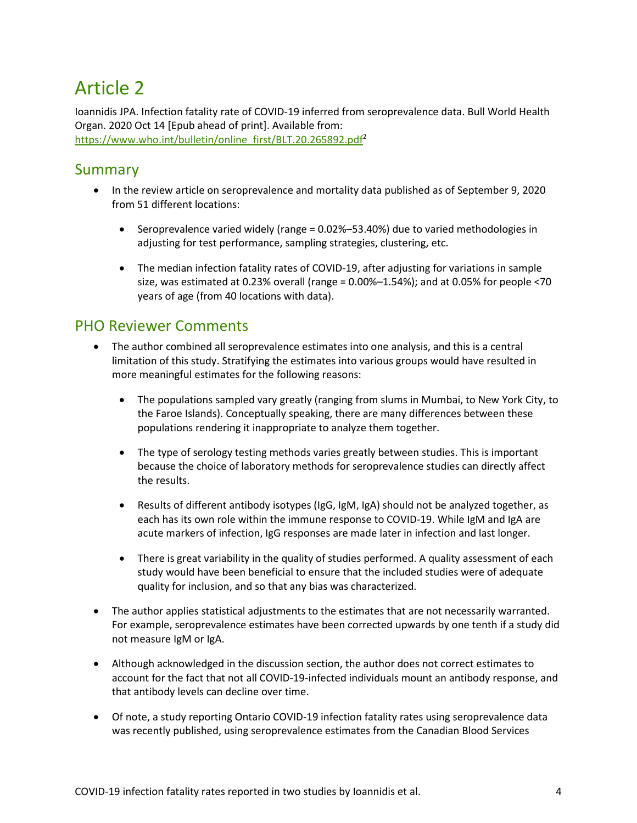# Article 2

Ioannidis JPA. Infection fatality rate of COVID-19 inferred from seroprevalence data. Bull World Health Organ. 2020 Oct 14 [Epub ahead of print]. Available from: https://www.who.int/bulletin/online\_first/BLT.20.265892.pdf<sup>2</sup>

#### Summary

- In the review article on seroprevalence and mortality data published as of September 9, 2020 from 51 different locations:
	- Seroprevalence varied widely (range = 0.02%–53.40%) due to varied methodologies in adjusting for test performance, sampling strategies, clustering, etc.
	- The median infection fatality rates of COVID-19, after adjusting for variations in sample size, was estimated at 0.23% overall (range = 0.00%–1.54%); and at 0.05% for people <70 years of age (from 40 locations with data).

#### PHO Reviewer Comments

- The author combined all seroprevalence estimates into one analysis, and this is a central limitation of this study. Stratifying the estimates into various groups would have resulted in more meaningful estimates for the following reasons:
	- The populations sampled vary greatly (ranging from slums in Mumbai, to New York City, to the Faroe Islands). Conceptually speaking, there are many differences between these populations rendering it inappropriate to analyze them together.
	- The type of serology testing methods varies greatly between studies. This is important because the choice of laboratory methods for seroprevalence studies can directly affect the results.
	- Results of different antibody isotypes (IgG, IgM, IgA) should not be analyzed together, as each has its own role within the immune response to COVID-19. While IgM and IgA are acute markers of infection, IgG responses are made later in infection and last longer.
	- There is great variability in the quality of studies performed. A quality assessment of each study would have been beneficial to ensure that the included studies were of adequate quality for inclusion, and so that any bias was characterized.
- The author applies statistical adjustments to the estimates that are not necessarily warranted. For example, seroprevalence estimates have been corrected upwards by one tenth if a study did not measure IgM or IgA.
- Although acknowledged in the discussion section, the author does not correct estimates to account for the fact that not all COVID-19-infected individuals mount an antibody response, and that antibody levels can decline over time.
- Of note, a study reporting Ontario COVID-19 infection fatality rates using seroprevalence data was recently published, using seroprevalence estimates from the Canadian Blood Services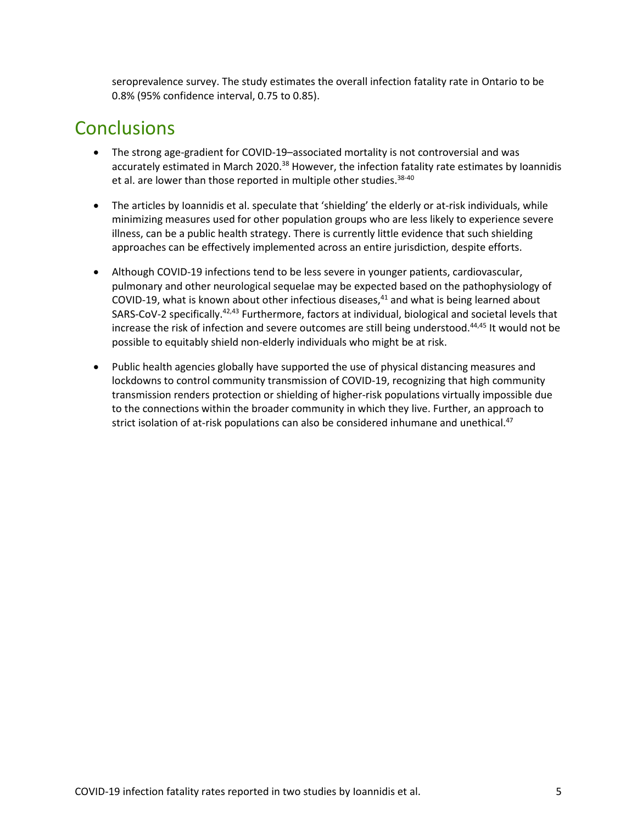seroprevalence survey. The study estimates the overall infection fatality rate in Ontario to be 0.8% (95% confidence interval, 0.75 to 0.85).

### **Conclusions**

- The strong age-gradient for COVID-19–associated mortality is not controversial and was accurately estimated in March 2020.<sup>38</sup> However, the infection fatality rate estimates by Ioannidis et al. are lower than those reported in multiple other studies.  $38-40$
- The articles by Ioannidis et al. speculate that 'shielding' the elderly or at-risk individuals, while minimizing measures used for other population groups who are less likely to experience severe illness, can be a public health strategy. There is currently little evidence that such shielding approaches can be effectively implemented across an entire jurisdiction, despite efforts.
- Although COVID-19 infections tend to be less severe in younger patients, cardiovascular, pulmonary and other neurological sequelae may be expected based on the pathophysiology of COVID-19, what is known about other infectious diseases, $41$  and what is being learned about SARS-CoV-2 specifically.<sup>42,43</sup> Furthermore, factors at individual, biological and societal levels that increase the risk of infection and severe outcomes are still being understood.44,45 It would not be possible to equitably shield non-elderly individuals who might be at risk.
- Public health agencies globally have supported the use of physical distancing measures and lockdowns to control community transmission of COVID-19, recognizing that high community transmission renders protection or shielding of higher-risk populations virtually impossible due to the connections within the broader community in which they live. Further, an approach to strict isolation of at-risk populations can also be considered inhumane and unethical.<sup>47</sup>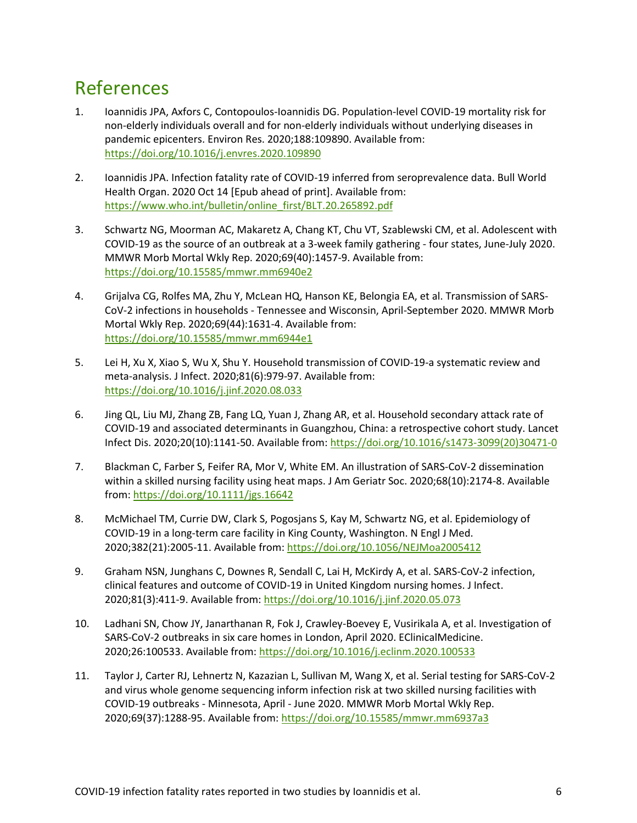### References

- 1. Ioannidis JPA, Axfors C, Contopoulos-Ioannidis DG. Population-level COVID-19 mortality risk for non-elderly individuals overall and for non-elderly individuals without underlying diseases in pandemic epicenters. Environ Res. 2020;188:109890. Available from: <https://doi.org/10.1016/j.envres.2020.109890>
- 2. Ioannidis JPA. Infection fatality rate of COVID-19 inferred from seroprevalence data. Bull World Health Organ. 2020 Oct 14 [Epub ahead of print]. Available from: [https://www.who.int/bulletin/online\\_first/BLT.20.265892.pdf](https://www.who.int/bulletin/online_first/BLT.20.265892.pdf)
- 3. Schwartz NG, Moorman AC, Makaretz A, Chang KT, Chu VT, Szablewski CM, et al. Adolescent with COVID-19 as the source of an outbreak at a 3-week family gathering - four states, June-July 2020. MMWR Morb Mortal Wkly Rep. 2020;69(40):1457-9. Available from: <https://doi.org/10.15585/mmwr.mm6940e2>
- 4. Grijalva CG, Rolfes MA, Zhu Y, McLean HQ, Hanson KE, Belongia EA, et al. Transmission of SARS-CoV-2 infections in households - Tennessee and Wisconsin, April-September 2020. MMWR Morb Mortal Wkly Rep. 2020;69(44):1631-4. Available from: <https://doi.org/10.15585/mmwr.mm6944e1>
- 5. Lei H, Xu X, Xiao S, Wu X, Shu Y. Household transmission of COVID-19-a systematic review and meta-analysis. J Infect. 2020;81(6):979-97. Available from: <https://doi.org/10.1016/j.jinf.2020.08.033>
- 6. Jing QL, Liu MJ, Zhang ZB, Fang LQ, Yuan J, Zhang AR, et al. Household secondary attack rate of COVID-19 and associated determinants in Guangzhou, China: a retrospective cohort study. Lancet Infect Dis. 2020;20(10):1141-50. Available from[: https://doi.org/10.1016/s1473-3099\(20\)30471-0](https://doi.org/10.1016/s1473-3099(20)30471-0)
- 7. Blackman C, Farber S, Feifer RA, Mor V, White EM. An illustration of SARS-CoV-2 dissemination within a skilled nursing facility using heat maps. J Am Geriatr Soc. 2020;68(10):2174-8. Available from:<https://doi.org/10.1111/jgs.16642>
- 8. McMichael TM, Currie DW, Clark S, Pogosjans S, Kay M, Schwartz NG, et al. Epidemiology of COVID-19 in a long-term care facility in King County, Washington. N Engl J Med. 2020;382(21):2005-11. Available from:<https://doi.org/10.1056/NEJMoa2005412>
- 9. Graham NSN, Junghans C, Downes R, Sendall C, Lai H, McKirdy A, et al. SARS-CoV-2 infection, clinical features and outcome of COVID-19 in United Kingdom nursing homes. J Infect. 2020;81(3):411-9. Available from[: https://doi.org/10.1016/j.jinf.2020.05.073](https://doi.org/10.1016/j.jinf.2020.05.073)
- 10. Ladhani SN, Chow JY, Janarthanan R, Fok J, Crawley-Boevey E, Vusirikala A, et al. Investigation of SARS-CoV-2 outbreaks in six care homes in London, April 2020. EClinicalMedicine. 2020;26:100533. Available from:<https://doi.org/10.1016/j.eclinm.2020.100533>
- 11. Taylor J, Carter RJ, Lehnertz N, Kazazian L, Sullivan M, Wang X, et al. Serial testing for SARS-CoV-2 and virus whole genome sequencing inform infection risk at two skilled nursing facilities with COVID-19 outbreaks - Minnesota, April - June 2020. MMWR Morb Mortal Wkly Rep. 2020;69(37):1288-95. Available from[: https://doi.org/10.15585/mmwr.mm6937a3](https://doi.org/10.15585/mmwr.mm6937a3)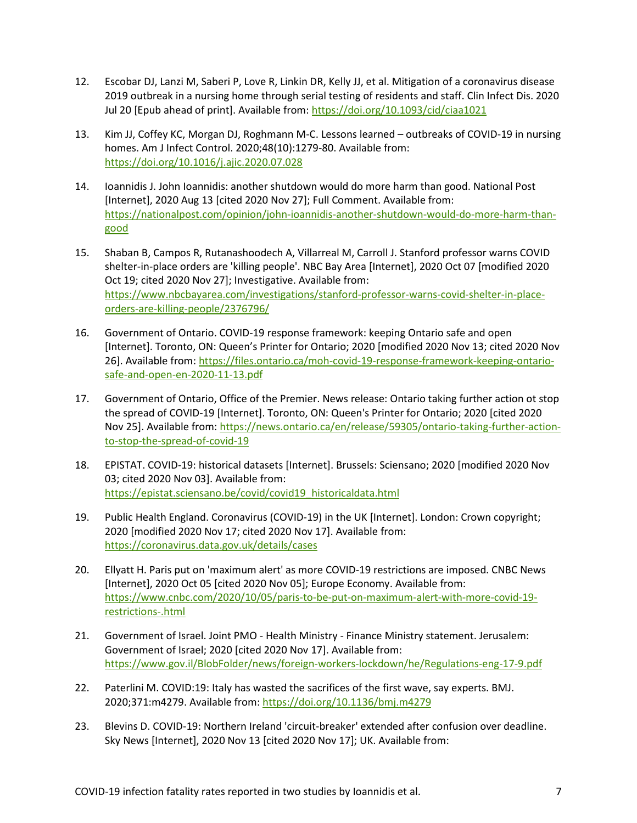- 12. Escobar DJ, Lanzi M, Saberi P, Love R, Linkin DR, Kelly JJ, et al. Mitigation of a coronavirus disease 2019 outbreak in a nursing home through serial testing of residents and staff. Clin Infect Dis. 2020 Jul 20 [Epub ahead of print]. Available from[: https://doi.org/10.1093/cid/ciaa1021](https://doi.org/10.1093/cid/ciaa1021)
- 13. Kim JJ, Coffey KC, Morgan DJ, Roghmann M-C. Lessons learned outbreaks of COVID-19 in nursing homes. Am J Infect Control. 2020;48(10):1279-80. Available from: <https://doi.org/10.1016/j.ajic.2020.07.028>
- 14. Ioannidis J. John Ioannidis: another shutdown would do more harm than good. National Post [Internet], 2020 Aug 13 [cited 2020 Nov 27]; Full Comment. Available from: [https://nationalpost.com/opinion/john-ioannidis-another-shutdown-would-do-more-harm-than](https://nationalpost.com/opinion/john-ioannidis-another-shutdown-would-do-more-harm-than-good)[good](https://nationalpost.com/opinion/john-ioannidis-another-shutdown-would-do-more-harm-than-good)
- 15. Shaban B, Campos R, Rutanashoodech A, Villarreal M, Carroll J. Stanford professor warns COVID shelter-in-place orders are 'killing people'. NBC Bay Area [Internet], 2020 Oct 07 [modified 2020 Oct 19; cited 2020 Nov 27]; Investigative. Available from: [https://www.nbcbayarea.com/investigations/stanford-professor-warns-covid-shelter-in-place](http://www.nbcbayarea.com/investigations/stanford-professor-warns-covid-shelter-in-place-orders-are-killing-people/2376796/)[orders-are-killing-people/2376796/](http://www.nbcbayarea.com/investigations/stanford-professor-warns-covid-shelter-in-place-orders-are-killing-people/2376796/)
- 16. Government of Ontario. COVID-19 response framework: keeping Ontario safe and open [Internet]. Toronto, ON: Queen's Printer for Ontario; 2020 [modified 2020 Nov 13; cited 2020 Nov 26]. Available from: [https://files.ontario.ca/moh-covid-19-response-framework-keeping-ontario](https://files.ontario.ca/moh-covid-19-response-framework-keeping-ontario-safe-and-open-en-2020-11-13.pdf)[safe-and-open-en-2020-11-13.pdf](https://files.ontario.ca/moh-covid-19-response-framework-keeping-ontario-safe-and-open-en-2020-11-13.pdf)
- 17. Government of Ontario, Office of the Premier. News release: Ontario taking further action ot stop the spread of COVID-19 [Internet]. Toronto, ON: Queen's Printer for Ontario; 2020 [cited 2020 Nov 25]. Available from: [https://news.ontario.ca/en/release/59305/ontario-taking-further-action](https://news.ontario.ca/en/release/59305/ontario-taking-further-action-to-stop-the-spread-of-covid-19)[to-stop-the-spread-of-covid-19](https://news.ontario.ca/en/release/59305/ontario-taking-further-action-to-stop-the-spread-of-covid-19)
- 18. EPISTAT. COVID-19: historical datasets [Internet]. Brussels: Sciensano; 2020 [modified 2020 Nov 03; cited 2020 Nov 03]. Available from: [https://epistat.sciensano.be/covid/covid19\\_historicaldata.html](https://epistat.sciensano.be/covid/covid19_historicaldata.html)
- 19. Public Health England. Coronavirus (COVID-19) in the UK [Internet]. London: Crown copyright; 2020 [modified 2020 Nov 17; cited 2020 Nov 17]. Available from: <https://coronavirus.data.gov.uk/details/cases>
- 20. Ellyatt H. Paris put on 'maximum alert' as more COVID-19 restrictions are imposed. CNBC News [Internet], 2020 Oct 05 [cited 2020 Nov 05]; Europe Economy. Available from: [https://www.cnbc.com/2020/10/05/paris-to-be-put-on-maximum-alert-with-more-covid-19](http://www.cnbc.com/2020/10/05/paris-to-be-put-on-maximum-alert-with-more-covid-19-restrictions-.html) [restrictions-.html](http://www.cnbc.com/2020/10/05/paris-to-be-put-on-maximum-alert-with-more-covid-19-restrictions-.html)
- 21. Government of Israel. Joint PMO Health Ministry Finance Ministry statement. Jerusalem: Government of Israel; 2020 [cited 2020 Nov 17]. Available from: [https://www.gov.il/BlobFolder/news/foreign-workers-lockdown/he/Regulations-eng-17-9.pdf](http://www.gov.il/BlobFolder/news/foreign-workers-lockdown/he/Regulations-eng-17-9.pdf)
- 22. Paterlini M. COVID:19: Italy has wasted the sacrifices of the first wave, say experts. BMJ. 2020;371:m4279. Available from[: https://doi.org/10.1136/bmj.m4279](https://doi.org/10.1136/bmj.m4279)
- 23. Blevins D. COVID-19: Northern Ireland 'circuit-breaker' extended after confusion over deadline. Sky News [Internet], 2020 Nov 13 [cited 2020 Nov 17]; UK. Available from: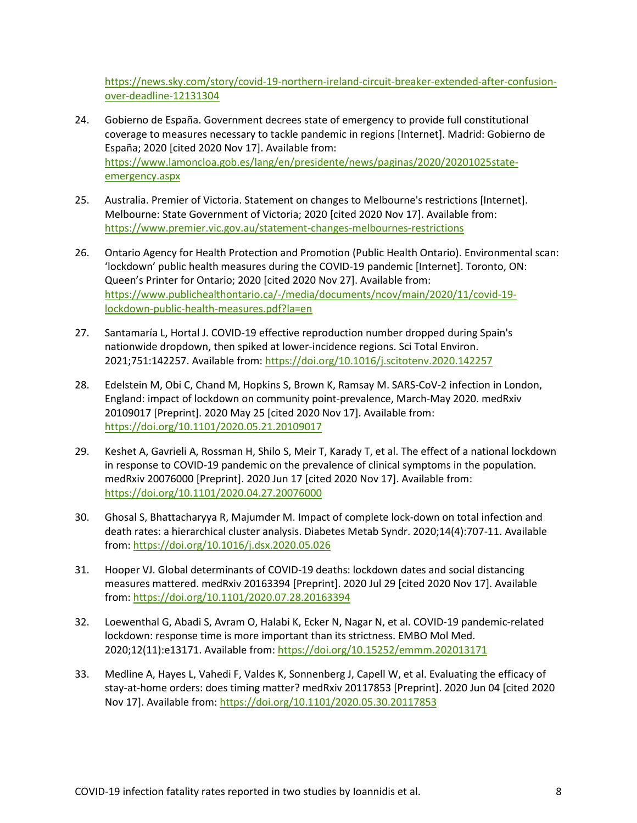[https://news.sky.com/story/covid-19-northern-ireland-circuit-breaker-extended-after-confusion](https://news.sky.com/story/covid-19-northern-ireland-circuit-breaker-extended-after-confusion-over-deadline-12131304)[over-deadline-12131304](https://news.sky.com/story/covid-19-northern-ireland-circuit-breaker-extended-after-confusion-over-deadline-12131304)

- 24. Gobierno de España. Government decrees state of emergency to provide full constitutional coverage to measures necessary to tackle pandemic in regions [Internet]. Madrid: Gobierno de España; 2020 [cited 2020 Nov 17]. Available from: [https://www.lamoncloa.gob.es/lang/en/presidente/news/paginas/2020/20201025state](http://www.lamoncloa.gob.es/lang/en/presidente/news/paginas/2020/20201025state-emergency.aspx)[emergency.aspx](http://www.lamoncloa.gob.es/lang/en/presidente/news/paginas/2020/20201025state-emergency.aspx)
- 25. Australia. Premier of Victoria. Statement on changes to Melbourne's restrictions [Internet]. Melbourne: State Government of Victoria; 2020 [cited 2020 Nov 17]. Available from: [https://www.premier.vic.gov.au/statement-changes-melbournes-restrictions](http://www.premier.vic.gov.au/statement-changes-melbournes-restrictions)
- 26. Ontario Agency for Health Protection and Promotion (Public Health Ontario). Environmental scan: 'lockdown' public health measures during the COVID-19 pandemic [Internet]. Toronto, ON: Queen's Printer for Ontario; 2020 [cited 2020 Nov 27]. Available from: [https://www.publichealthontario.ca/-/media/documents/ncov/main/2020/11/covid-19](https://www.publichealthontario.ca/-/media/documents/ncov/main/2020/11/covid-19-lockdown-public-health-measures.pdf?la=en) [lockdown-public-health-measures.pdf?la=en](https://www.publichealthontario.ca/-/media/documents/ncov/main/2020/11/covid-19-lockdown-public-health-measures.pdf?la=en)
- 27. Santamaría L, Hortal J. COVID-19 effective reproduction number dropped during Spain's nationwide dropdown, then spiked at lower-incidence regions. Sci Total Environ. 2021;751:142257. Available from:<https://doi.org/10.1016/j.scitotenv.2020.142257>
- 28. Edelstein M, Obi C, Chand M, Hopkins S, Brown K, Ramsay M. SARS-CoV-2 infection in London, England: impact of lockdown on community point-prevalence, March-May 2020. medRxiv 20109017 [Preprint]. 2020 May 25 [cited 2020 Nov 17]. Available from: <https://doi.org/10.1101/2020.05.21.20109017>
- 29. Keshet A, Gavrieli A, Rossman H, Shilo S, Meir T, Karady T, et al. The effect of a national lockdown in response to COVID-19 pandemic on the prevalence of clinical symptoms in the population. medRxiv 20076000 [Preprint]. 2020 Jun 17 [cited 2020 Nov 17]. Available from: <https://doi.org/10.1101/2020.04.27.20076000>
- 30. Ghosal S, Bhattacharyya R, Majumder M. Impact of complete lock-down on total infection and death rates: a hierarchical cluster analysis. Diabetes Metab Syndr. 2020;14(4):707-11. Available from:<https://doi.org/10.1016/j.dsx.2020.05.026>
- 31. Hooper VJ. Global determinants of COVID-19 deaths: lockdown dates and social distancing measures mattered. medRxiv 20163394 [Preprint]. 2020 Jul 29 [cited 2020 Nov 17]. Available from:<https://doi.org/10.1101/2020.07.28.20163394>
- 32. Loewenthal G, Abadi S, Avram O, Halabi K, Ecker N, Nagar N, et al. COVID-19 pandemic-related lockdown: response time is more important than its strictness. EMBO Mol Med. 2020;12(11):e13171. Available from:<https://doi.org/10.15252/emmm.202013171>
- 33. Medline A, Hayes L, Vahedi F, Valdes K, Sonnenberg J, Capell W, et al. Evaluating the efficacy of stay-at-home orders: does timing matter? medRxiv 20117853 [Preprint]. 2020 Jun 04 [cited 2020 Nov 17]. Available from:<https://doi.org/10.1101/2020.05.30.20117853>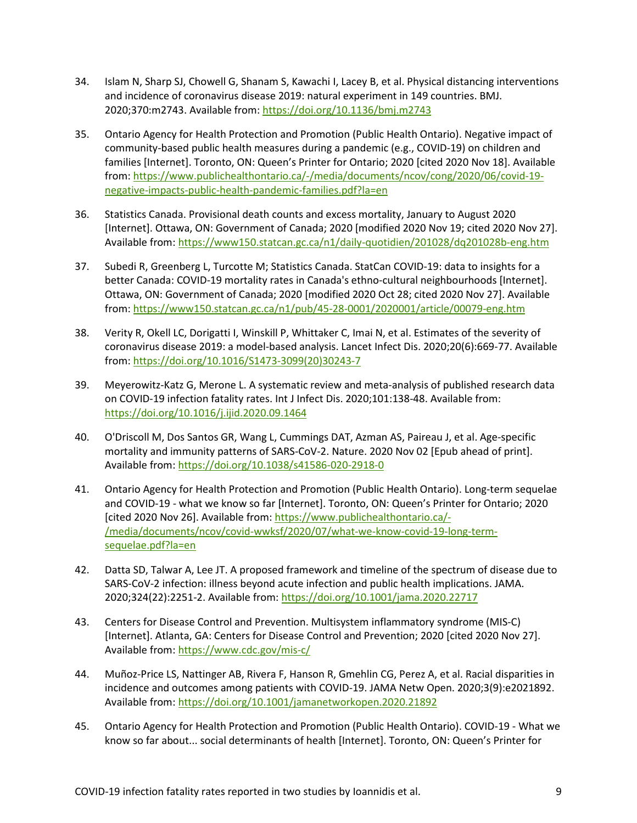- 34. Islam N, Sharp SJ, Chowell G, Shanam S, Kawachi I, Lacey B, et al. Physical distancing interventions and incidence of coronavirus disease 2019: natural experiment in 149 countries. BMJ. 2020;370:m2743. Available from[: https://doi.org/10.1136/bmj.m2743](https://doi.org/10.1136/bmj.m2743)
- 35. Ontario Agency for Health Protection and Promotion (Public Health Ontario). Negative impact of community-based public health measures during a pandemic (e.g., COVID-19) on children and families [Internet]. Toronto, ON: Queen's Printer for Ontario; 2020 [cited 2020 Nov 18]. Available from: [https://www.publichealthontario.ca/-/media/documents/ncov/cong/2020/06/covid-19](http://www.publichealthontario.ca/-/media/documents/ncov/cong/2020/06/covid-19-negative-impacts-public-health-pandemic-families.pdf?la=en) [negative-impacts-public-health-pandemic-families.pdf?la=en](http://www.publichealthontario.ca/-/media/documents/ncov/cong/2020/06/covid-19-negative-impacts-public-health-pandemic-families.pdf?la=en)
- 36. Statistics Canada. Provisional death counts and excess mortality, January to August 2020 [Internet]. Ottawa, ON: Government of Canada; 2020 [modified 2020 Nov 19; cited 2020 Nov 27]. Available from:<https://www150.statcan.gc.ca/n1/daily-quotidien/201028/dq201028b-eng.htm>
- 37. Subedi R, Greenberg L, Turcotte M; Statistics Canada. StatCan COVID-19: data to insights for a better Canada: COVID-19 mortality rates in Canada's ethno-cultural neighbourhoods [Internet]. Ottawa, ON: Government of Canada; 2020 [modified 2020 Oct 28; cited 2020 Nov 27]. Available from:<https://www150.statcan.gc.ca/n1/pub/45-28-0001/2020001/article/00079-eng.htm>
- 38. Verity R, Okell LC, Dorigatti I, Winskill P, Whittaker C, Imai N, et al. Estimates of the severity of coronavirus disease 2019: a model-based analysis. Lancet Infect Dis. 2020;20(6):669-77. Available from: [https://doi.org/10.1016/S1473-3099\(20\)30243-7](https://doi.org/10.1016/S1473-3099(20)30243-7)
- 39. Meyerowitz-Katz G, Merone L. A systematic review and meta-analysis of published research data on COVID-19 infection fatality rates. Int J Infect Dis. 2020;101:138-48. Available from: <https://doi.org/10.1016/j.ijid.2020.09.1464>
- 40. O'Driscoll M, Dos Santos GR, Wang L, Cummings DAT, Azman AS, Paireau J, et al. Age-specific mortality and immunity patterns of SARS-CoV-2. Nature. 2020 Nov 02 [Epub ahead of print]. Available from:<https://doi.org/10.1038/s41586-020-2918-0>
- 41. Ontario Agency for Health Protection and Promotion (Public Health Ontario). Long-term sequelae and COVID-19 - what we know so far [Internet]. Toronto, ON: Queen's Printer for Ontario; 2020 [cited 2020 Nov 26]. Available from: [https://www.publichealthontario.ca/-](http://www.publichealthontario.ca/-/media/documents/ncov/covid-wwksf/2020/07/what-we-know-covid-19-long-term-sequelae.pdf?la=en) [/media/documents/ncov/covid-wwksf/2020/07/what-we-know-covid-19-long-term](http://www.publichealthontario.ca/-/media/documents/ncov/covid-wwksf/2020/07/what-we-know-covid-19-long-term-sequelae.pdf?la=en)[sequelae.pdf?la=en](http://www.publichealthontario.ca/-/media/documents/ncov/covid-wwksf/2020/07/what-we-know-covid-19-long-term-sequelae.pdf?la=en)
- 42. Datta SD, Talwar A, Lee JT. A proposed framework and timeline of the spectrum of disease due to SARS-CoV-2 infection: illness beyond acute infection and public health implications. JAMA. 2020;324(22):2251-2. Available from[: https://doi.org/10.1001/jama.2020.22717](https://doi.org/10.1001/jama.2020.22717)
- 43. Centers for Disease Control and Prevention. Multisystem inflammatory syndrome (MIS-C) [Internet]. Atlanta, GA: Centers for Disease Control and Prevention; 2020 [cited 2020 Nov 27]. Available from: [https://www.cdc.gov/mis-c/](http://www.cdc.gov/mis-c/)
- 44. Muñoz-Price LS, Nattinger AB, Rivera F, Hanson R, Gmehlin CG, Perez A, et al. Racial disparities in incidence and outcomes among patients with COVID-19. JAMA Netw Open. 2020;3(9):e2021892. Available from:<https://doi.org/10.1001/jamanetworkopen.2020.21892>
- 45. Ontario Agency for Health Protection and Promotion (Public Health Ontario). COVID-19 What we know so far about... social determinants of health [Internet]. Toronto, ON: Queen's Printer for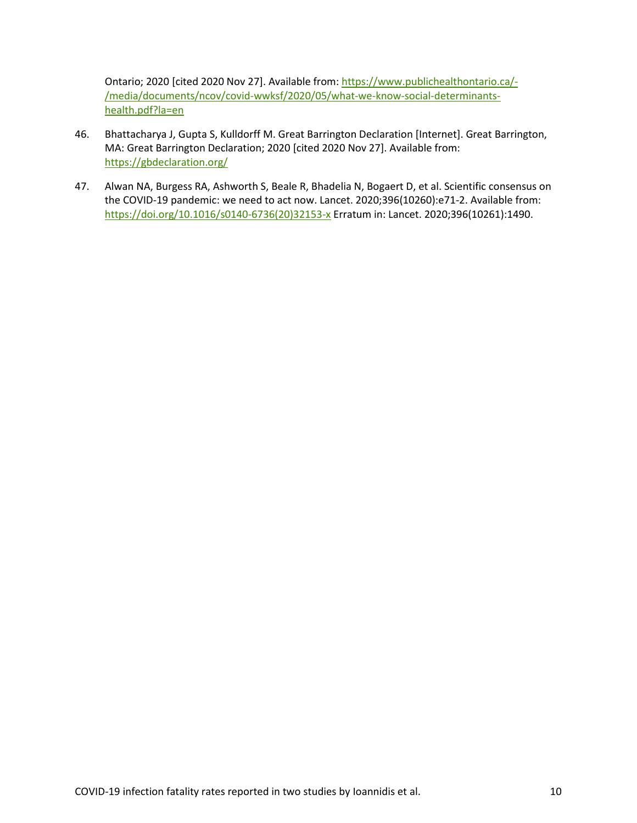Ontario; 2020 [cited 2020 Nov 27]. Available from: https:/[/www.publichealthontario.ca/-](http://www.publichealthontario.ca/-/media/documents/ncov/covid-wwksf/2020/05/what-we-know-social-determinants-health.pdf?la=en) [/media/documents/ncov/covid-wwksf/2020/05/what-we-know-social-determinants](http://www.publichealthontario.ca/-/media/documents/ncov/covid-wwksf/2020/05/what-we-know-social-determinants-health.pdf?la=en)[health.pdf?la=en](http://www.publichealthontario.ca/-/media/documents/ncov/covid-wwksf/2020/05/what-we-know-social-determinants-health.pdf?la=en)

- 46. Bhattacharya J, Gupta S, Kulldorff M. Great Barrington Declaration [Internet]. Great Barrington, MA: Great Barrington Declaration; 2020 [cited 2020 Nov 27]. Available from: <https://gbdeclaration.org/>
- 47. Alwan NA, Burgess RA, Ashworth S, Beale R, Bhadelia N, Bogaert D, et al. Scientific consensus on the COVID-19 pandemic: we need to act now. Lancet. 2020;396(10260):e71-2. Available from: [https://doi.org/10.1016/s0140-6736\(20\)32153-x](https://doi.org/10.1016/s0140-6736(20)32153-x) Erratum in: Lancet. 2020;396(10261):1490.